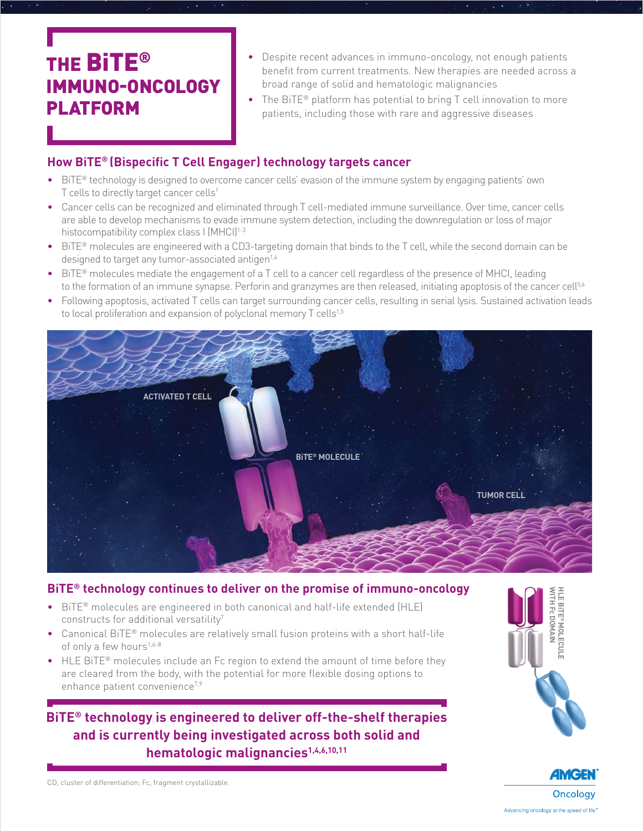# THE BiTE® IMMUNO-ONCOLOGY PLATFORM

- Despite recent advances in immuno-oncology, not enough patients benefit from current treatments. New therapies are needed across a broad range of solid and hematologic malignancies
- The BiTE<sup>®</sup> platform has potential to bring T cell innovation to more patients, including those with rare and aggressive diseases

# **How BiTE® (Bispecific T Cell Engager) technology targets cancer**

- BiTE® technology is designed to overcome cancer cells' evasion of the immune system by engaging patients' own T cells to directly target cancer cells<sup>1</sup>
- Cancer cells can be recognized and eliminated through T cell-mediated immune surveillance. Over time, cancer cells are able to develop mechanisms to evade immune system detection, including the downregulation or loss of major histocompatibility complex class I (MHCI)<sup>1-3</sup>
- BiTE® molecules are engineered with a CD3-targeting domain that binds to the T cell, while the second domain can be designed to target any tumor-associated antigen<sup>1,4</sup>
- BiTE® molecules mediate the engagement of a T cell to a cancer cell regardless of the presence of MHCI, leading to the formation of an immune synapse. Perforin and granzymes are then released, initiating apoptosis of the cancer cell<sup>5,6</sup>
- Following apoptosis, activated T cells can target surrounding cancer cells, resulting in serial lysis. Sustained activation leads to local proliferation and expansion of polyclonal memory T cells<sup>1,5</sup>



## **BiTE® technology continues to deliver on the promise of immuno-oncology**

- BiTE® molecules are engineered in both canonical and half-life extended (HLE) constructs for additional versatility<sup>7</sup>
- Canonical BiTE® molecules are relatively small fusion proteins with a short half-life of only a few hours<sup>1,6-8</sup>
- HLE BiTE<sup>®</sup> molecules include an Fc region to extend the amount of time before they are cleared from the body, with the potential for more flexible dosing options to enhance patient convenience<sup>7,9</sup>

# **BiTE® technology is engineered to deliver off-the-shelf therapies and is currently being investigated across both solid and hematologic malignancies1,4,6,10,11**





CD, cluster of differentiation; Fc, fragment crystallizable.